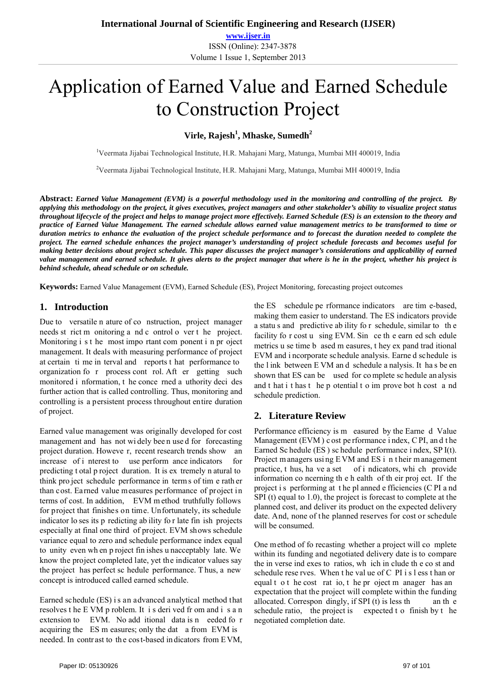# Application of Earned Value and Earned Schedule to Construction Project

# $Virle, Rajesh<sup>1</sup>, Mhaske, Sumedh<sup>2</sup>$

<sup>1</sup>Veermata Jijabai Technological Institute, H.R. Mahajani Marg, Matunga, Mumbai MH 400019, India

<sup>2</sup>Veermata Jijabai Technological Institute, H.R. Mahajani Marg, Matunga, Mumbai MH 400019, India

**Abstract:** *Earned Value Management (EVM) is a powerful methodology used in the monitoring and controlling of the project. By applying this methodology on the project, it gives executives, project managers and other stakeholder's ability to visualize project status throughout lifecycle of the project and helps to manage project more effectively. Earned Schedule (ES) is an extension to the theory and practice of Earned Value Management. The earned schedule allows earned value management metrics to be transformed to time or duration metrics to enhance the evaluation of the project schedule performance and to forecast the duration needed to complete the project. The earned schedule enhances the project manager's understanding of project schedule forecasts and becomes useful for making better decisions about project schedule. This paper discusses the project manager's considerations and applicability of earned value management and earned schedule. It gives alerts to the project manager that where is he in the project, whether his project is behind schedule, ahead schedule or on schedule.* 

**Keywords:** Earned Value Management (EVM), Earned Schedule (ES), Project Monitoring, forecasting project outcomes

## **1. Introduction**

Due to versatile n ature of co nstruction, project manager needs st rict m onitoring a nd c ontrol o ver t he project. Monitoring i s t he most impo rtant com ponent i n pr oject management. It deals with measuring performance of project at certain ti me in terval and reports t hat performance to organization fo r process cont rol. Aft er getting such monitored i nformation, t he conce rned a uthority deci des further action that is called controlling. Thus, monitoring and controlling is a persistent process throughout entire duration of project.

Earned value management was originally developed for cost management and has not wi dely bee n use d for forecasting project duration. Howeve r, recent research trends show an increase of i nterest to use perform ance indicators for predicting t otal p roject duration. It is ex tremely n atural to think pro ject schedule performance in term s of tim e rath er than cost. Earned value measures performance of project in terms of cost. In addition, EVM m ethod truthfully follows for project that finishes on time. Unfortunately, its schedule indicator lo ses its p redicting ab ility fo r late fin ish projects especially at final one third of project. EVM shows schedule variance equal to zero and schedule performance index equal to unity even wh en p roject fin ishes u nacceptably late. We know the project completed late, yet the indicator values say the project has perfect sc hedule performance. T hus, a new concept is introduced called earned schedule.

Earned schedule (ES) i s an advanced analytical method that resolves t he E VM p roblem. It i s deri ved fr om and i s a n extension to EVM. No add itional data is n eeded fo r acquiring the ES m easures; only the dat a from EVM is needed. In contr ast to th e cos t-based in dicators from E VM,

the ES schedule pe rformance indicators are tim e-based, making them easier to understand. The ES indicators provide a statu s and predictive ab ility fo r schedule, similar to th e facility fo r cost u sing EVM. Sin ce th e earn ed sch edule metrics u se time b ased m easures, t hey ex pand trad itional EVM and i ncorporate schedule analysis. Earne d schedule is the l ink between E VM an d schedule a nalysis. It ha s be en shown that ES can be used for co mplete sc hedule an alysis and t hat i t has t he p otential t o im prove bot h cost a nd schedule prediction.

## **2. Literature Review**

Performance efficiency is m easured by the Earne d Value Management (EVM ) c ost pe rformance i ndex, C PI, an d t he Earned Sc hedule (ES ) sc hedule performance i ndex, SP I(t). Project m anagers usi ng E VM and ES i n t heir m anagement practice, t hus, ha ve a set of i ndicators, whi ch provide information co ncerning th e h ealth of th eir proj ect. If the project i s performing at t he pl anned e fficiencies (C PI a nd SPI (t) equal to 1.0), the project is forecast to complete at the planned cost, and deliver its product on the expected delivery date. And, none of the planned reserves for cost or schedule will be consumed.

One method of fo recasting whether a project will co mplete within its funding and negotiated delivery date is to compare the in verse ind exes to ratios, wh ich in clude th e co st and schedule rese rves. When t he val ue of C PI i s l ess t han or equal t o t he cost rat io, t he pr oject m anager has an expectation that the project will complete within the funding allocated. Correspon dingly, if  $SPI(t)$  is less th an the schedule ratio, the project is expected t o finish by t he negotiated completion date.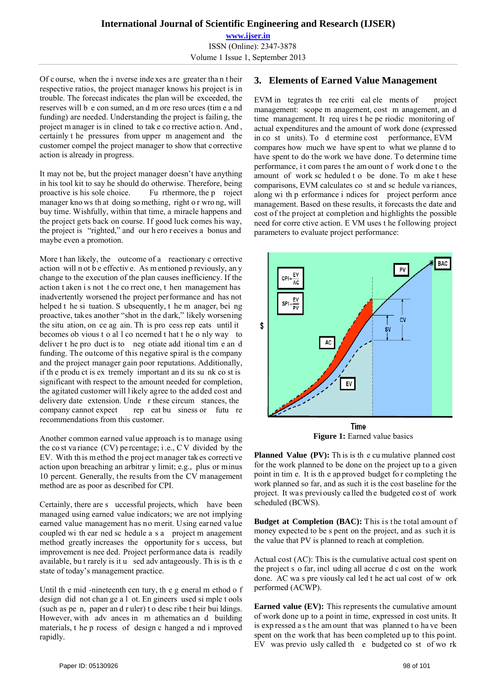Of c ourse, when the i nverse inde xes a re greater tha n t heir respective ratios, the project manager knows his project is in trouble. The forecast indicates the plan will be exceeded, the reserves will b e con sumed, an d m ore reso urces (tim e a nd funding) are needed. Understanding the project is failing, the project m anager is in clined to tak e co rrective actio n. And , certainly t he pressures from upper m anagement and the customer compel the project manager to show that corrective action is already in progress.

It may not be, but the project manager doesn't have anything in his tool kit to say he should do otherwise. Therefore, being proactive is his sole choice. Fu rthermore, the p roject manager kno ws th at doing so mething, right o r wro ng, will buy time. Wishfully, within that time, a miracle happens and the project gets back on course. If good luck comes his way, the project is "righted," and our h ero r eceives a bonus and maybe even a promotion.

More than likely, the outcome of a reactionary c orrective action will n ot b e effectiv e. As m entioned p reviously, an y change to the execution of the plan causes inefficiency. If the action t aken i s not t he co rrect one, t hen management has inadvertently worsened the project performance and has not helped t he si tuation. S ubsequently, t he m anager, bei ng proactive, takes another "shot in the dark," likely worsening the situ ation, on ce ag ain. Th is pro cess rep eats until it becomes ob vious t o al l co ncerned t hat t he o nly way to deliver t he pro duct is to neg otiate add itional tim e an d funding. The outcome of this negative spiral is the company and the project manager gain poor reputations. Additionally, if th e produ ct is ex tremely important an d its su nk co st is significant with respect to the amount needed for completion, the agitated customer will l ikely agree to the ad ded cost and delivery date extension. Unde r these circum stances, the company cannot expect rep eat bu siness or futu re recommendations from this customer.

Another common earned value approach is to manage using the co st va riance (CV) pe rcentage; i .e., C V divided by the EV. With th is m ethod th e proj ect m anager tak es correcti ve action upon breaching an arbitrar y limit; e.g., plus or minus 10 percent. Generally, the results from the CV management method are as poor as described for CPI.

Certainly, there are s uccessful projects, which have been managed using earned value indicators; we are not implying earned value management has no merit. Using earned value coupled wi th ear ned sc hedule a s a project m anagement method greatly increases the opportunity for s uccess, but improvement is nee ded. Project performance data is readily available, bu t rarely is it u sed adv antageously. Th is is th e state of today's management practice.

Until th e mid -nineteenth cen tury, th e g eneral m ethod o f design did not chan ge a l ot. En gineers used si mple t ools (such as pe n, paper an d r uler) t o desc ribe t heir bui ldings. However, with adv ances in m athematics an d building materials, t he p rocess of design c hanged a nd i mproved rapidly.

## **3. Elements of Earned Value Management**

EVM in tegrates the ree critical elements of project management: scope m anagement, cost m anagement, an d time management. It req uires t he pe riodic monitoring of actual expenditures and the amount of work done (expressed in co st units). To d etermine cost performance, EVM compares how much we have sp ent to what we planne d to have spent to do the work we have done. To determine time performance, it com pares the am ount of work d one to the amount of work sc heduled t o be done. To m ake t hese comparisons, EVM calculates co st and sc hedule va riances, along wi th p erformance i ndices for project perform ance management. Based on these results, it forecasts the date and cost of the project at completion and highlights the possible need for corre ctive action. E VM uses t he following project parameters to evaluate project performance:



**Figure 1:** Earned value basics

**Planned Value (PV):** This is the cumulative planned cost for the work planned to be done on the project up to a given point in tim e. It is th e ap proved budget fo r co mpleting t he work planned so far, and as such it is the cost baseline for the project. It wa s previ ously ca lled th e budgeted co st of work scheduled (BCWS).

**Budget at Completion (BAC):** This is the total amount of money expected to be s pent on the project, and as such it is the value that PV is planned to reach at completion.

Actual cost (AC): This is the cumulative actual cost spent on the project s o far, incl uding all accrue d c ost on the work done. AC wa s pre viously cal led t he act ual cost of w ork performed (ACWP).

**Earned value (EV):** This represents the cumulative amount of work done up to a point in time, expressed in cost units. It is exp ressed a s t he am ount that was planned t o ha ve been spent on the work that has been completed up to this point. EV was previo usly called th e budgeted co st of wo rk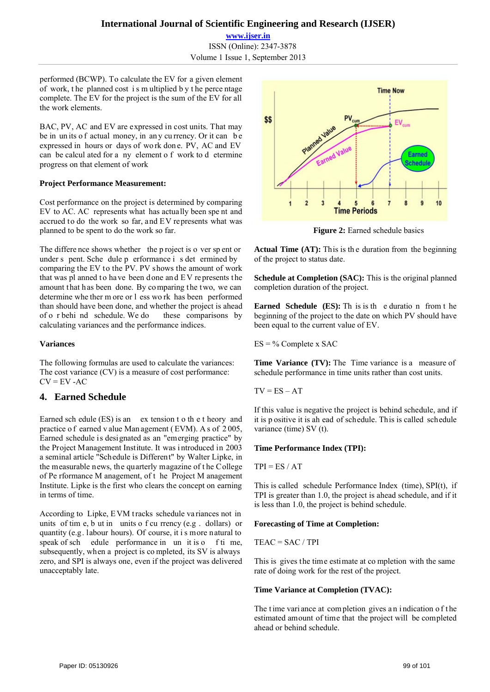# **International Journal of Scientific Engineering and Research (IJSER)**

**www.ijser.in** ISSN (Online): 2347-3878 Volume 1 Issue 1, September 2013

performed (BCWP). To calculate the EV for a given element of work, t he planned cost i s m ultiplied b y t he perce ntage complete. The EV for the project is the sum of the EV for all the work elements.

BAC, PV, AC and EV are expressed in cost units. That may be in un its of actual money, in any cu rrency. Or it can be expressed in hours or days of wo rk don e. PV, AC and EV can be calcul ated for a ny element o f work to d etermine progress on that element of work

#### **Project Performance Measurement:**

Cost performance on the project is determined by comparing EV to AC. AC represents what has actually been spe nt and accrued to do the work so far, and EV represents what was planned to be spent to do the work so far.

The differe nce shows whether the p roject is o ver sp ent or under s pent. Sche dule p erformance i s det ermined by comparing the EV to the PV. PV shows the amount of work that was pl anned to have been done and EV represents the amount that has been done. By co mparing the two, we can determine whe ther m ore or l ess wo rk has been performed than should have been done, and whether the project is ahead of o r behi nd schedule. We do these comparisons by calculating variances and the performance indices.

#### **Variances**

The following formulas are used to calculate the variances: The cost variance (CV) is a measure of cost performance:  $CV = EV - AC$ 

## **4. Earned Schedule**

Earned sch edule (ES) is an extension to the t heory and practice o f earned v alue Man agement ( EVM). A s of 2 005, Earned schedule is designated as an "emerging practice" by the Project Management Institute. It was i ntroduced in 2003 a seminal article "Schedule is Different" by Walter Lipke, in the measurable news, the quarterly magazine of t he College of Pe rformance M anagement, of t he Project M anagement Institute. Lipke is the first who clears the concept on earning in terms of time.

According to Lipke, E VM t racks schedule va riances not in units of tim e, b ut in units o f cu rrency (e.g . dollars) or quantity (e.g. labour hours). Of course, it i s more natural to speak of sch edule performance in un it is o f ti me, subsequently, when a project is co mpleted, its SV is always zero, and SPI is always one, even if the project was delivered unacceptably late.



**Figure 2:** Earned schedule basics

**Actual Time (AT):** This is the duration from the beginning of the project to status date.

**Schedule at Completion (SAC):** This is the original planned completion duration of the project.

**Earned Schedule (ES):** Th is is th e duratio n from t he beginning of the project to the date on which PV should have been equal to the current value of EV.

 $ES = \%$  Complete x SAC

**Time Variance (TV):** The Time variance is a measure of schedule performance in time units rather than cost units.

$$
TV = ES - AT
$$

If this value is negative the project is behind schedule, and if it is p ositive it is ah ead of schedule. This is called schedule variance (time) SV (t).

## **Time Performance Index (TPI):**

#### $TPI = ES / AT$

This is called schedule Performance Index (time), SPI(t), if TPI is greater than 1.0, the project is ahead schedule, and if it is less than 1.0, the project is behind schedule.

#### **Forecasting of Time at Completion:**

 $TEAC = SAC / TPI$ 

This is gives the time estimate at co mpletion with the same rate of doing work for the rest of the project.

## **Time Variance at Completion (TVAC):**

The time variance at completion gives an indication of the estimated amount of time that the project will be completed ahead or behind schedule.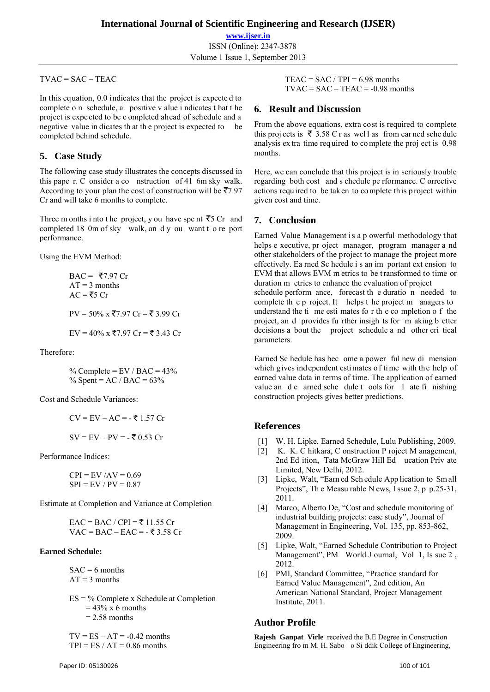**www.ijser.in** ISSN (Online): 2347-3878 Volume 1 Issue 1, September 2013

 $TVAC = SAC - TEAC$ 

In this equation, 0.0 indicates that the project is expecte d to complete o n schedule, a positive v alue i ndicates t hat t he project is expe cted to be c ompleted ahead of schedule and a negative value in dicates th at th e project is expected to be completed behind schedule.

## **5. Case Study**

The following case study illustrates the concepts discussed in this pape r. C onsider a co nstruction of 41 6m sky walk. According to your plan the cost of construction will be  $\overline{57.97}$ Cr and will take 6 months to complete.

Three m onths i nto the project, y ou have spe nt  $\overline{5}5$  Cr and completed 18 0m of sky walk, an d y ou want t o re port performance.

Using the EVM Method:

BAC = `7.97 Cr AT = 3 months AC = `5 Cr PV = 50% x `7.97 Cr = ` 3.99 Cr EV = 40% x `7.97 Cr = ` 3.43 Cr

Therefore:

 $\%$  Complete = EV / BAC = 43% % Spent =  $AC / BAC = 63%$ 

Cost and Schedule Variances:

$$
CV = EV - AC = -\overline{5} \ 1.57 \ Cr
$$

$$
SV = EV - PV = -\overline{\overline{\overline{\overline{\overline{C}}}}}\ 0.53 \,\mathrm{Cr}
$$

Performance Indices:

 $CPI = EV/AV = 0.69$  $SPI = EV / PV = 0.87$ 

Estimate at Completion and Variance at Completion

 $EAC = BAC / CPI = 711.55 Cr$  $VAC = BAC - EAC = -\overline{\overline{\overline{}}}3.58 \text{ Cr}$ 

## **Earned Schedule:**

 $SAC = 6$  months  $AT = 3$  months

 $ES = \%$  Complete x Schedule at Completion  $= 43\% \times 6$  months  $= 2.58$  months

 $TV = ES - AT = -0.42$  months  $TPI = ES / AT = 0.86$  months

 $TEAC = SAC / TPI = 6.98$  months  $TVAC = SAC - TEAC = -0.98$  months

# **6. Result and Discussion**

From the above equations, extra cost is required to complete this projects is  $\overline{5}$  3.58 C r as well as from ear ned sche dule analysis ex tra time req uired to co mplete the proj ect is 0.98 months.

Here, we can conclude that this project is in seriously trouble regarding both cost and s chedule pe rformance. C orrective actions requ ired to be tak en to co mplete th is p roject within given cost and time.

## **7. Conclusion**

Earned Value Management is a p owerful methodology that helps e xecutive, pr oject manager, program manager a nd other stakeholders of the project to manage the project more effectively. Ea rned Sc hedule i s an im portant ext ension to EVM that allows EVM m etrics to be t ransformed to time or duration m etrics to enhance the evaluation of project schedule perform ance, forecast th e duratio n needed to complete th e p roject. It helps t he project m anagers to understand the ti me esti mates fo r th e co mpletion o f the project, an d provides fu rther insigh ts for m aking b etter decisions a bout the project schedule a nd other cri tical parameters.

Earned Sc hedule has bec ome a power ful new di mension which gives independent estimates of time with the help of earned value data in terms of time. The application of earned value an d e arned sche dule t ools for l ate fi nishing construction projects gives better predictions.

# **References**

- W. H. Lipke, Earned Schedule, Lulu Publishing, 2009.
- [2] K. K. C hitkara, C onstruction P roject M anagement, 2nd Ed ition, Tata McGraw Hill Ed ucation Priv ate Limited, New Delhi, 2012.
- [3] Lipke, Walt, "Earn ed Sch edule App lication to Sm all Projects", Th e Measu rable N ews, I ssue 2, p p.25-31, 2011.
- [4] Marco, Alberto De, "Cost and schedule monitoring of industrial building projects: case study", Journal of Management in Engineering, Vol. 135, pp. 853-862, 2009.
- [5] Lipke, Walt, "Earned Schedule Contribution to Project Management", PM World J ournal, Vol 1, Is sue 2, 2012.
- [6] PMI, Standard Committee, "Practice standard for Earned Value Management", 2nd edition, An American National Standard, Project Management Institute, 2011.

## **Author Profile**

**Rajesh Ganpat Virle** received the B.E Degree in Construction Engineering fro m M. H. Sabo o Si ddik College of Engineering,